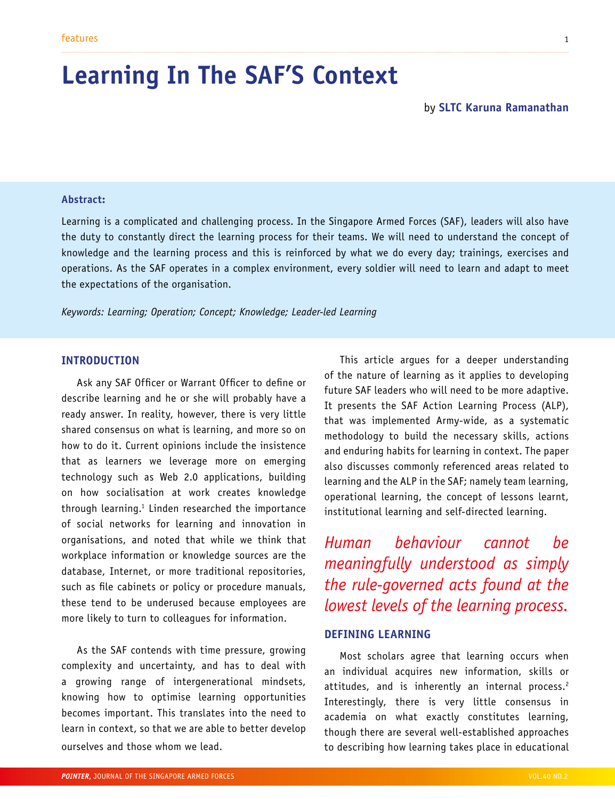# **Learning In The SAF'S Context**

### **Abstract:**

Learning is a complicated and challenging process. In the Singapore Armed Forces (SAF), leaders will also have the duty to constantly direct the learning process for their teams. We will need to understand the concept of knowledge and the learning process and this is reinforced by what we do every day; trainings, exercises and operations. As the SAF operates in a complex environment, every soldier will need to learn and adapt to meet the expectations of the organisation.

*Keywords: Learning; Operation; Concept; Knowledge; Leader-led Learning*

### **INTRODUCTION**

Ask any SAF Officer or Warrant Officer to define or describe learning and he or she will probably have a ready answer. In reality, however, there is very little shared consensus on what is learning, and more so on how to do it. Current opinions include the insistence that as learners we leverage more on emerging technology such as Web 2.0 applications, building on how socialisation at work creates knowledge through learning.1 Linden researched the importance of social networks for learning and innovation in organisations, and noted that while we think that workplace information or knowledge sources are the database, Internet, or more traditional repositories, such as file cabinets or policy or procedure manuals, these tend to be underused because employees are more likely to turn to colleagues for information.

As the SAF contends with time pressure, growing complexity and uncertainty, and has to deal with a growing range of intergenerational mindsets, knowing how to optimise learning opportunities becomes important. This translates into the need to learn in context, so that we are able to better develop ourselves and those whom we lead.

This article argues for a deeper understanding of the nature of learning as it applies to developing future SAF leaders who will need to be more adaptive. It presents the SAF Action Learning Process (ALP), that was implemented Army-wide, as a systematic methodology to build the necessary skills, actions and enduring habits for learning in context. The paper also discusses commonly referenced areas related to learning and the ALP in the SAF; namely team learning, operational learning, the concept of lessons learnt, institutional learning and self-directed learning.

*Human behaviour cannot be meaningfully understood as simply the rule-governed acts found at the lowest levels of the learning process.*

### **DEFINING LEARNING**

Most scholars agree that learning occurs when an individual acquires new information, skills or attitudes, and is inherently an internal process.<sup>2</sup> Interestingly, there is very little consensus in academia on what exactly constitutes learning, though there are several well-established approaches to describing how learning takes place in educational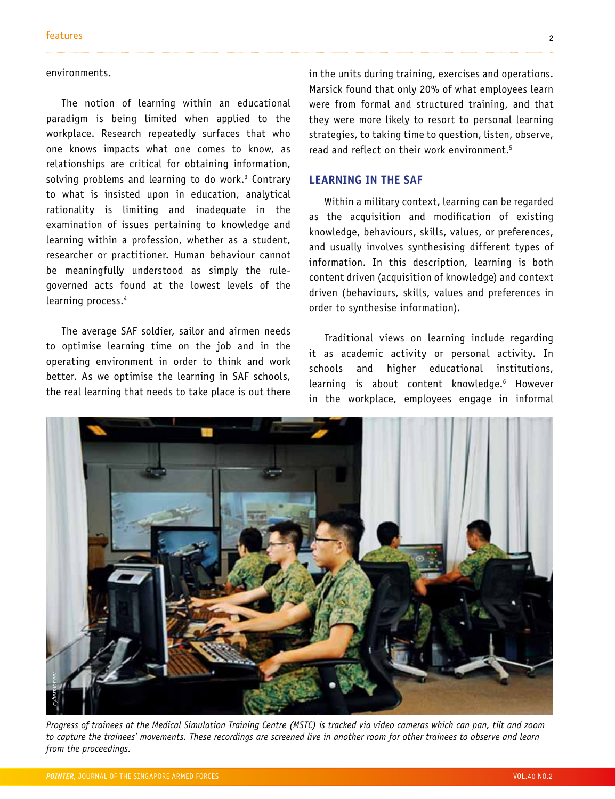### environments.

The notion of learning within an educational paradigm is being limited when applied to the workplace. Research repeatedly surfaces that who one knows impacts what one comes to know, as relationships are critical for obtaining information, solving problems and learning to do work.<sup>3</sup> Contrary to what is insisted upon in education, analytical rationality is limiting and inadequate in the examination of issues pertaining to knowledge and learning within a profession, whether as a student, researcher or practitioner. Human behaviour cannot be meaningfully understood as simply the rulegoverned acts found at the lowest levels of the learning process.<sup>4</sup>

The average SAF soldier, sailor and airmen needs to optimise learning time on the job and in the operating environment in order to think and work better. As we optimise the learning in SAF schools, the real learning that needs to take place is out there

in the units during training, exercises and operations. Marsick found that only 20% of what employees learn were from formal and structured training, and that they were more likely to resort to personal learning strategies, to taking time to question, listen, observe, read and reflect on their work environment.<sup>5</sup>

### **LEARNING IN THE SAF**

Within a military context, learning can be regarded as the acquisition and modification of existing knowledge, behaviours, skills, values, or preferences, and usually involves synthesising different types of information. In this description, learning is both content driven (acquisition of knowledge) and context driven (behaviours, skills, values and preferences in order to synthesise information).

Traditional views on learning include regarding it as academic activity or personal activity. In schools and higher educational institutions, learning is about content knowledge.<sup>6</sup> However in the workplace, employees engage in informal



*Progress of trainees at the Medical Simulation Training Centre (MSTC) is tracked via video cameras which can pan, tilt and zoom to capture the trainees' movements. These recordings are screened live in another room for other trainees to observe and learn*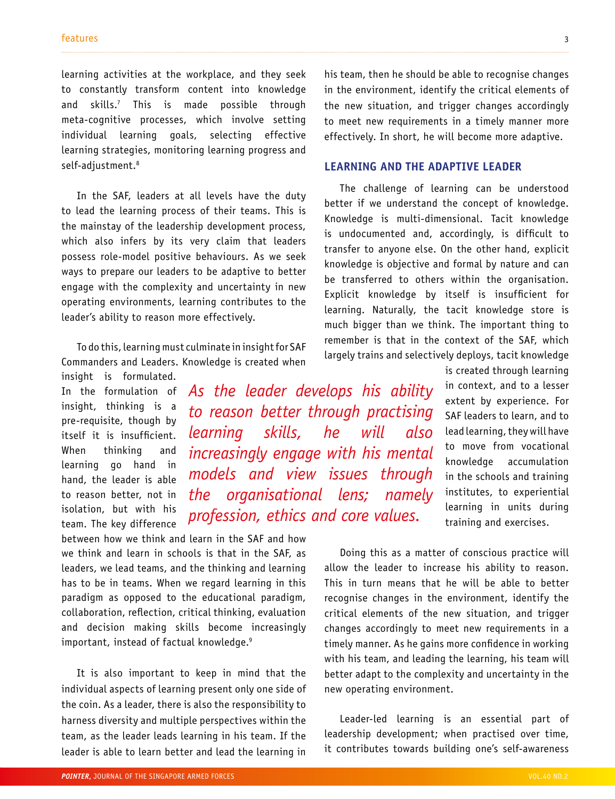learning activities at the workplace, and they seek to constantly transform content into knowledge and skills.7 This is made possible through meta-cognitive processes, which involve setting individual learning goals, selecting effective learning strategies, monitoring learning progress and self-adjustment.<sup>8</sup>

In the SAF, leaders at all levels have the duty to lead the learning process of their teams. This is the mainstay of the leadership development process, which also infers by its very claim that leaders possess role-model positive behaviours. As we seek ways to prepare our leaders to be adaptive to better engage with the complexity and uncertainty in new operating environments, learning contributes to the leader's ability to reason more effectively.

To do this, learning must culminate in insight for SAF Commanders and Leaders. Knowledge is created when

insight is formulated. In the formulation of insight, thinking is a pre-requisite, though by itself it is insufficient. When thinking and learning go hand in hand, the leader is able to reason better, not in isolation, but with his team. The key difference

*As the leader develops his ability to reason better through practising learning skills, he will also increasingly engage with his mental models and view issues through the organisational lens; namely profession, ethics and core values.*

between how we think and learn in the SAF and how we think and learn in schools is that in the SAF, as leaders, we lead teams, and the thinking and learning has to be in teams. When we regard learning in this paradigm as opposed to the educational paradigm, collaboration, reflection, critical thinking, evaluation and decision making skills become increasingly important, instead of factual knowledge.9

It is also important to keep in mind that the individual aspects of learning present only one side of the coin. As a leader, there is also the responsibility to harness diversity and multiple perspectives within the team, as the leader leads learning in his team. If the leader is able to learn better and lead the learning in his team, then he should be able to recognise changes in the environment, identify the critical elements of the new situation, and trigger changes accordingly to meet new requirements in a timely manner more effectively. In short, he will become more adaptive.

### **LEARNING AND THE ADAPTIVE LEADER**

The challenge of learning can be understood better if we understand the concept of knowledge. Knowledge is multi-dimensional. Tacit knowledge is undocumented and, accordingly, is difficult to transfer to anyone else. On the other hand, explicit knowledge is objective and formal by nature and can be transferred to others within the organisation. Explicit knowledge by itself is insufficient for learning. Naturally, the tacit knowledge store is much bigger than we think. The important thing to remember is that in the context of the SAF, which largely trains and selectively deploys, tacit knowledge

> is created through learning in context, and to a lesser extent by experience. For SAF leaders to learn, and to lead learning, they will have to move from vocational knowledge accumulation in the schools and training institutes, to experiential learning in units during training and exercises.

Doing this as a matter of conscious practice will allow the leader to increase his ability to reason. This in turn means that he will be able to better recognise changes in the environment, identify the critical elements of the new situation, and trigger changes accordingly to meet new requirements in a timely manner. As he gains more confidence in working with his team, and leading the learning, his team will better adapt to the complexity and uncertainty in the new operating environment.

Leader-led learning is an essential part of leadership development; when practised over time, it contributes towards building one's self-awareness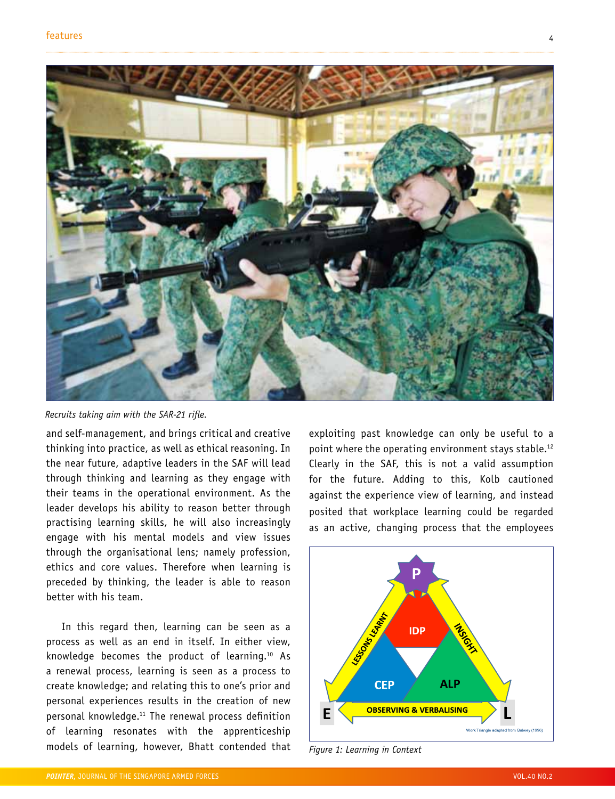

*Recruits taking aim with the SAR-21 rifle.*

and self-management, and brings critical and creative thinking into practice, as well as ethical reasoning. In the near future, adaptive leaders in the SAF will lead through thinking and learning as they engage with their teams in the operational environment. As the leader develops his ability to reason better through practising learning skills, he will also increasingly engage with his mental models and view issues through the organisational lens; namely profession, ethics and core values. Therefore when learning is preceded by thinking, the leader is able to reason better with his team.

In this regard then, learning can be seen as a process as well as an end in itself. In either view, knowledge becomes the product of learning.10 As a renewal process, learning is seen as a process to create knowledge; and relating this to one's prior and personal experiences results in the creation of new personal knowledge.11 The renewal process definition of learning resonates with the apprenticeship models of learning, however, Bhatt contended that exploiting past knowledge can only be useful to a point where the operating environment stays stable.12 Clearly in the SAF, this is not a valid assumption for the future. Adding to this, Kolb cautioned against the experience view of learning, and instead posited that workplace learning could be regarded as an active, changing process that the employees

![](_page_3_Figure_7.jpeg)

*Figure 1: Learning in Context*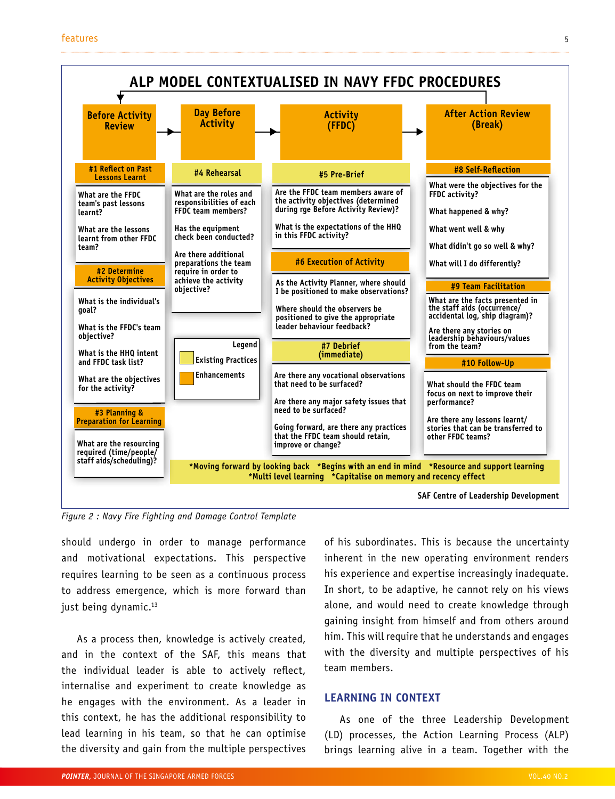![](_page_4_Figure_1.jpeg)

*Figure 2 : Navy Fire Fighting and Damage Control Template*

should undergo in order to manage performance and motivational expectations. This perspective requires learning to be seen as a continuous process to address emergence, which is more forward than just being dynamic.<sup>13</sup>

As a process then, knowledge is actively created, and in the context of the SAF, this means that the individual leader is able to actively reflect, internalise and experiment to create knowledge as he engages with the environment. As a leader in this context, he has the additional responsibility to lead learning in his team, so that he can optimise the diversity and gain from the multiple perspectives of his subordinates. This is because the uncertainty inherent in the new operating environment renders his experience and expertise increasingly inadequate. In short, to be adaptive, he cannot rely on his views alone, and would need to create knowledge through gaining insight from himself and from others around him. This will require that he understands and engages with the diversity and multiple perspectives of his team members.

### **LEARNING IN CONTEXT**

As one of the three Leadership Development (LD) processes, the Action Learning Process (ALP) brings learning alive in a team. Together with the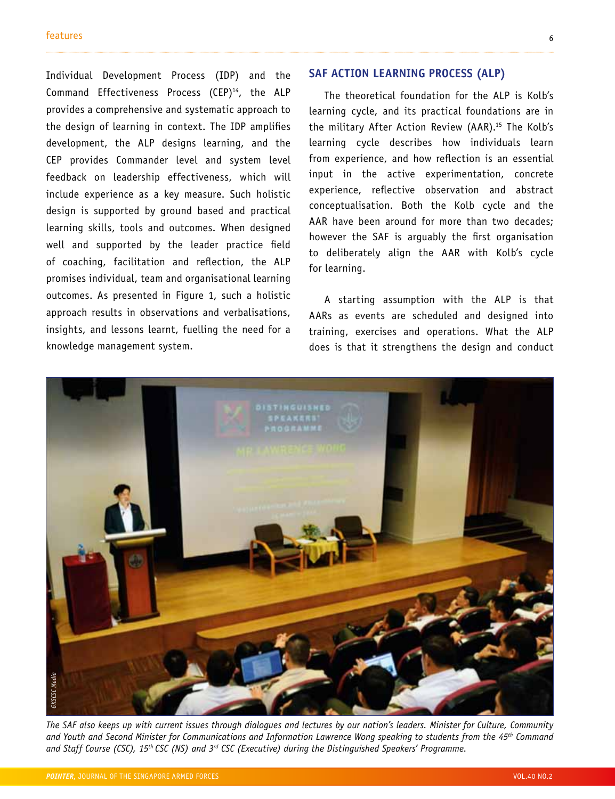Individual Development Process (IDP) and the Command Effectiveness Process (CEP)<sup>14</sup>, the ALP provides a comprehensive and systematic approach to the design of learning in context. The IDP amplifies development, the ALP designs learning, and the CEP provides Commander level and system level feedback on leadership effectiveness, which will include experience as a key measure. Such holistic design is supported by ground based and practical learning skills, tools and outcomes. When designed well and supported by the leader practice field of coaching, facilitation and reflection, the ALP promises individual, team and organisational learning outcomes. As presented in Figure 1, such a holistic approach results in observations and verbalisations, insights, and lessons learnt, fuelling the need for a knowledge management system.

### **SAF ACTION LEARNING PROCESS (ALP)**

The theoretical foundation for the ALP is Kolb's learning cycle, and its practical foundations are in the military After Action Review (AAR).<sup>15</sup> The Kolb's learning cycle describes how individuals learn from experience, and how reflection is an essential input in the active experimentation, concrete experience, reflective observation and abstract conceptualisation. Both the Kolb cycle and the AAR have been around for more than two decades; however the SAF is arguably the first organisation to deliberately align the AAR with Kolb's cycle for learning.

A starting assumption with the ALP is that AARs as events are scheduled and designed into training, exercises and operations. What the ALP does is that it strengthens the design and conduct

![](_page_5_Picture_5.jpeg)

*The SAF also keeps up with current issues through dialogues and lectures by our nation's leaders. Minister for Culture, Community and Youth and Second Minister for Communications and Information Lawrence Wong speaking to students from the 45th Command*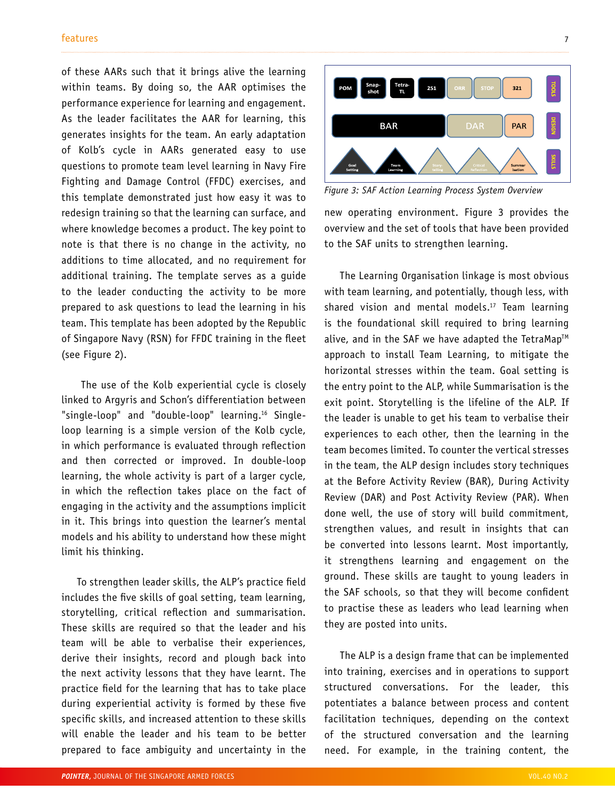of these AARs such that it brings alive the learning within teams. By doing so, the AAR optimises the performance experience for learning and engagement. As the leader facilitates the AAR for learning, this generates insights for the team. An early adaptation of Kolb's cycle in AARs generated easy to use questions to promote team level learning in Navy Fire Fighting and Damage Control (FFDC) exercises, and this template demonstrated just how easy it was to redesign training so that the learning can surface, and where knowledge becomes a product. The key point to note is that there is no change in the activity, no additions to time allocated, and no requirement for additional training. The template serves as a guide to the leader conducting the activity to be more prepared to ask questions to lead the learning in his team. This template has been adopted by the Republic of Singapore Navy (RSN) for FFDC training in the fleet (see Figure 2).

 The use of the Kolb experiential cycle is closely linked to Argyris and Schon's differentiation between "single-loop" and "double-loop" learning.<sup>16</sup> Singleloop learning is a simple version of the Kolb cycle, in which performance is evaluated through reflection and then corrected or improved. In double-loop learning, the whole activity is part of a larger cycle, in which the reflection takes place on the fact of engaging in the activity and the assumptions implicit in it. This brings into question the learner's mental models and his ability to understand how these might limit his thinking.

To strengthen leader skills, the ALP's practice field includes the five skills of goal setting, team learning, storytelling, critical reflection and summarisation. These skills are required so that the leader and his team will be able to verbalise their experiences, derive their insights, record and plough back into the next activity lessons that they have learnt. The practice field for the learning that has to take place during experiential activity is formed by these five specific skills, and increased attention to these skills will enable the leader and his team to be better prepared to face ambiguity and uncertainty in the

![](_page_6_Figure_4.jpeg)

*Figure 3: SAF Action Learning Process System Overview*

new operating environment. Figure 3 provides the overview and the set of tools that have been provided to the SAF units to strengthen learning.

The Learning Organisation linkage is most obvious with team learning, and potentially, though less, with shared vision and mental models.<sup>17</sup> Team learning is the foundational skill required to bring learning alive, and in the SAF we have adapted the TetraMap<sup>TM</sup> approach to install Team Learning, to mitigate the horizontal stresses within the team. Goal setting is the entry point to the ALP, while Summarisation is the exit point. Storytelling is the lifeline of the ALP. If the leader is unable to get his team to verbalise their experiences to each other, then the learning in the team becomes limited. To counter the vertical stresses in the team, the ALP design includes story techniques at the Before Activity Review (BAR), During Activity Review (DAR) and Post Activity Review (PAR). When done well, the use of story will build commitment, strengthen values, and result in insights that can be converted into lessons learnt. Most importantly, it strengthens learning and engagement on the ground. These skills are taught to young leaders in the SAF schools, so that they will become confident to practise these as leaders who lead learning when they are posted into units.

The ALP is a design frame that can be implemented into training, exercises and in operations to support structured conversations. For the leader, this potentiates a balance between process and content facilitation techniques, depending on the context of the structured conversation and the learning need. For example, in the training content, the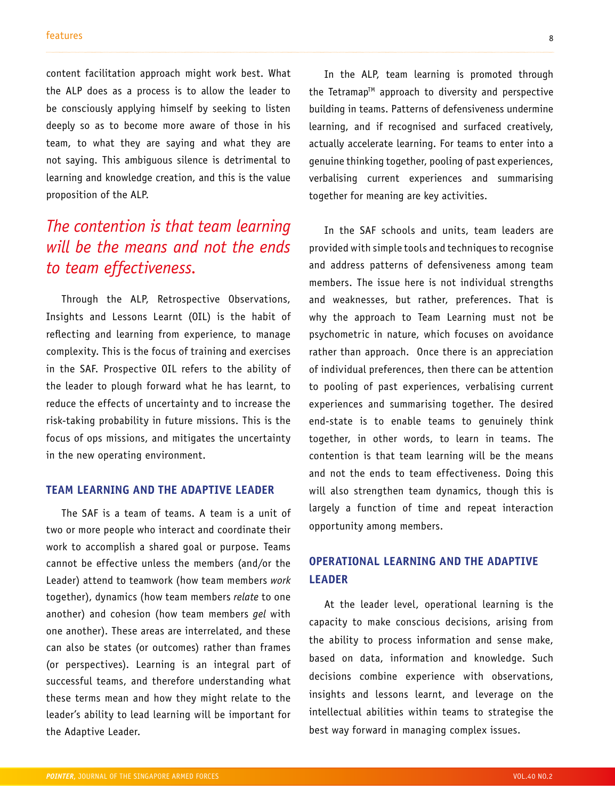content facilitation approach might work best. What the ALP does as a process is to allow the leader to be consciously applying himself by seeking to listen deeply so as to become more aware of those in his team, to what they are saying and what they are not saying. This ambiguous silence is detrimental to learning and knowledge creation, and this is the value proposition of the ALP.

# *The contention is that team learning will be the means and not the ends to team effectiveness.*

Through the ALP, Retrospective Observations, Insights and Lessons Learnt (OIL) is the habit of reflecting and learning from experience, to manage complexity. This is the focus of training and exercises in the SAF. Prospective OIL refers to the ability of the leader to plough forward what he has learnt, to reduce the effects of uncertainty and to increase the risk-taking probability in future missions. This is the focus of ops missions, and mitigates the uncertainty in the new operating environment.

### **TEAM LEARNING AND THE ADAPTIVE LEADER**

The SAF is a team of teams. A team is a unit of two or more people who interact and coordinate their work to accomplish a shared goal or purpose. Teams cannot be effective unless the members (and/or the Leader) attend to teamwork (how team members *work* together), dynamics (how team members *relate* to one another) and cohesion (how team members *gel* with one another). These areas are interrelated, and these can also be states (or outcomes) rather than frames (or perspectives). Learning is an integral part of successful teams, and therefore understanding what these terms mean and how they might relate to the leader's ability to lead learning will be important for the Adaptive Leader.

In the ALP, team learning is promoted through the Tetramap<sup>TM</sup> approach to diversity and perspective building in teams. Patterns of defensiveness undermine learning, and if recognised and surfaced creatively, actually accelerate learning. For teams to enter into a genuine thinking together, pooling of past experiences, verbalising current experiences and summarising together for meaning are key activities.

In the SAF schools and units, team leaders are provided with simple tools and techniques to recognise and address patterns of defensiveness among team members. The issue here is not individual strengths and weaknesses, but rather, preferences. That is why the approach to Team Learning must not be psychometric in nature, which focuses on avoidance rather than approach. Once there is an appreciation of individual preferences, then there can be attention to pooling of past experiences, verbalising current experiences and summarising together. The desired end-state is to enable teams to genuinely think together, in other words, to learn in teams. The contention is that team learning will be the means and not the ends to team effectiveness. Doing this will also strengthen team dynamics, though this is largely a function of time and repeat interaction opportunity among members.

# **OPERATIONAL LEARNING AND THE ADAPTIVE LEADER**

At the leader level, operational learning is the capacity to make conscious decisions, arising from the ability to process information and sense make, based on data, information and knowledge. Such decisions combine experience with observations, insights and lessons learnt, and leverage on the intellectual abilities within teams to strategise the best way forward in managing complex issues.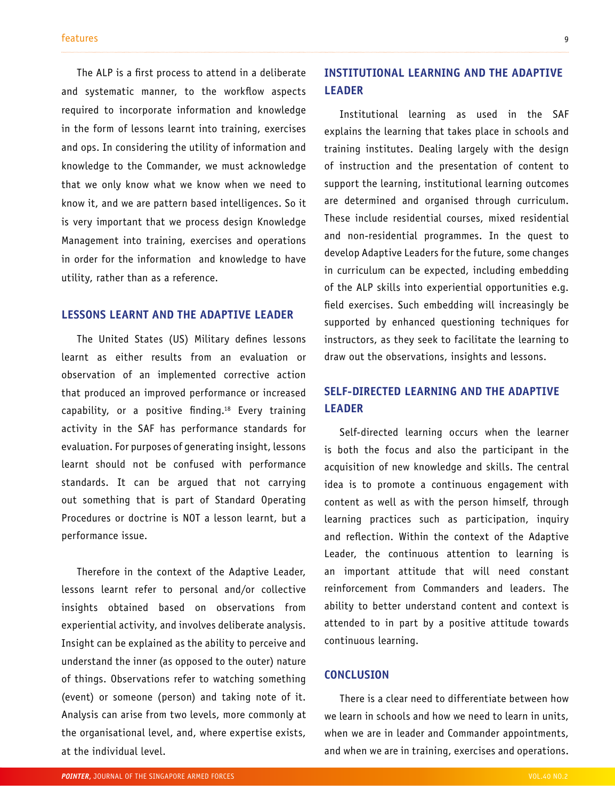The ALP is a first process to attend in a deliberate and systematic manner, to the workflow aspects required to incorporate information and knowledge in the form of lessons learnt into training, exercises and ops. In considering the utility of information and knowledge to the Commander, we must acknowledge that we only know what we know when we need to know it, and we are pattern based intelligences. So it is very important that we process design Knowledge Management into training, exercises and operations in order for the information and knowledge to have utility, rather than as a reference.

### **LESSONS LEARNT AND THE ADAPTIVE LEADER**

The United States (US) Military defines lessons learnt as either results from an evaluation or observation of an implemented corrective action that produced an improved performance or increased capability, or a positive finding.18 Every training activity in the SAF has performance standards for evaluation. For purposes of generating insight, lessons learnt should not be confused with performance standards. It can be argued that not carrying out something that is part of Standard Operating Procedures or doctrine is NOT a lesson learnt, but a performance issue.

Therefore in the context of the Adaptive Leader, lessons learnt refer to personal and/or collective insights obtained based on observations from experiential activity, and involves deliberate analysis. Insight can be explained as the ability to perceive and understand the inner (as opposed to the outer) nature of things. Observations refer to watching something (event) or someone (person) and taking note of it. Analysis can arise from two levels, more commonly at the organisational level, and, where expertise exists, at the individual level.

### **INSTITUTIONAL LEARNING AND THE ADAPTIVE LEADER**

Institutional learning as used in the SAF explains the learning that takes place in schools and training institutes. Dealing largely with the design of instruction and the presentation of content to support the learning, institutional learning outcomes are determined and organised through curriculum. These include residential courses, mixed residential and non-residential programmes. In the quest to develop Adaptive Leaders for the future, some changes in curriculum can be expected, including embedding of the ALP skills into experiential opportunities e.g. field exercises. Such embedding will increasingly be supported by enhanced questioning techniques for instructors, as they seek to facilitate the learning to draw out the observations, insights and lessons.

## **SELF-DIRECTED LEARNING AND THE ADAPTIVE LEADER**

Self-directed learning occurs when the learner is both the focus and also the participant in the acquisition of new knowledge and skills. The central idea is to promote a continuous engagement with content as well as with the person himself, through learning practices such as participation, inquiry and reflection. Within the context of the Adaptive Leader, the continuous attention to learning is an important attitude that will need constant reinforcement from Commanders and leaders. The ability to better understand content and context is attended to in part by a positive attitude towards continuous learning.

### **CONCLUSION**

There is a clear need to differentiate between how we learn in schools and how we need to learn in units, when we are in leader and Commander appointments, and when we are in training, exercises and operations.